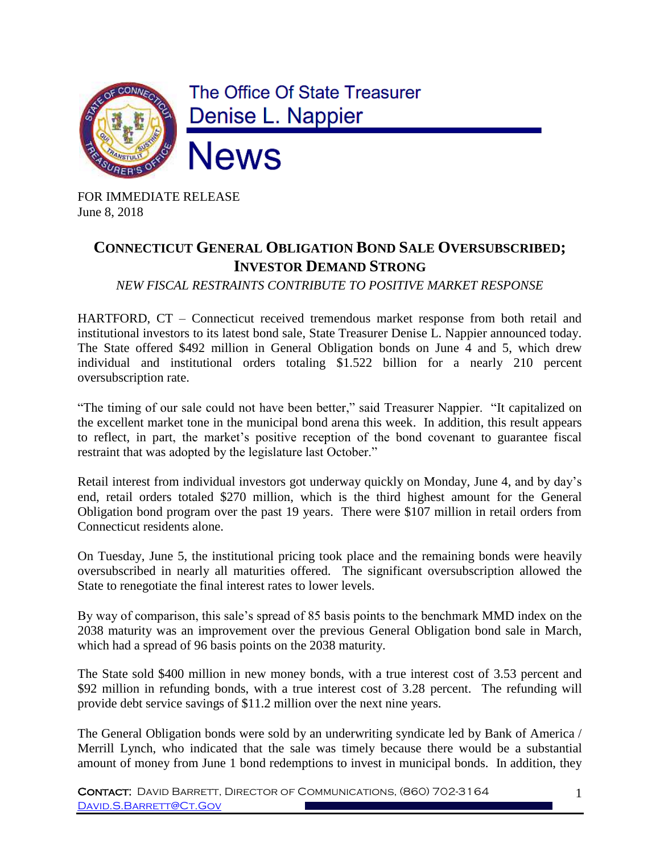

FOR IMMEDIATE RELEASE June 8, 2018

## **CONNECTICUT GENERAL OBLIGATION BOND SALE OVERSUBSCRIBED; INVESTOR DEMAND STRONG**

*NEW FISCAL RESTRAINTS CONTRIBUTE TO POSITIVE MARKET RESPONSE*

HARTFORD, CT – Connecticut received tremendous market response from both retail and institutional investors to its latest bond sale, State Treasurer Denise L. Nappier announced today. The State offered \$492 million in General Obligation bonds on June 4 and 5, which drew individual and institutional orders totaling \$1.522 billion for a nearly 210 percent oversubscription rate.

"The timing of our sale could not have been better," said Treasurer Nappier. "It capitalized on the excellent market tone in the municipal bond arena this week. In addition, this result appears to reflect, in part, the market's positive reception of the bond covenant to guarantee fiscal restraint that was adopted by the legislature last October."

Retail interest from individual investors got underway quickly on Monday, June 4, and by day's end, retail orders totaled \$270 million, which is the third highest amount for the General Obligation bond program over the past 19 years. There were \$107 million in retail orders from Connecticut residents alone.

On Tuesday, June 5, the institutional pricing took place and the remaining bonds were heavily oversubscribed in nearly all maturities offered. The significant oversubscription allowed the State to renegotiate the final interest rates to lower levels.

By way of comparison, this sale's spread of 85 basis points to the benchmark MMD index on the 2038 maturity was an improvement over the previous General Obligation bond sale in March, which had a spread of 96 basis points on the 2038 maturity.

The State sold \$400 million in new money bonds, with a true interest cost of 3.53 percent and \$92 million in refunding bonds, with a true interest cost of 3.28 percent. The refunding will provide debt service savings of \$11.2 million over the next nine years.

The General Obligation bonds were sold by an underwriting syndicate led by Bank of America / Merrill Lynch, who indicated that the sale was timely because there would be a substantial amount of money from June 1 bond redemptions to invest in municipal bonds. In addition, they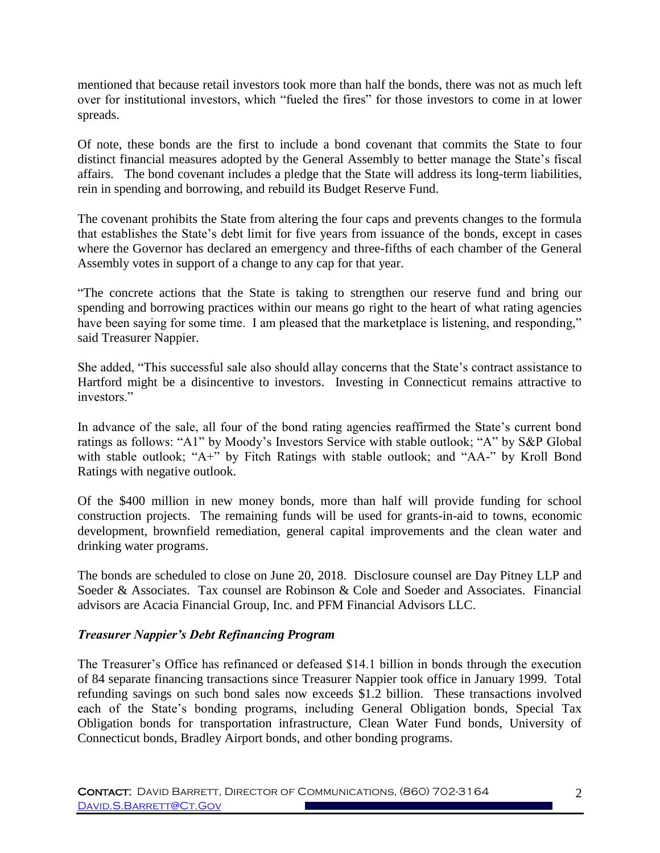mentioned that because retail investors took more than half the bonds, there was not as much left over for institutional investors, which "fueled the fires" for those investors to come in at lower spreads.

Of note, these bonds are the first to include a bond covenant that commits the State to four distinct financial measures adopted by the General Assembly to better manage the State's fiscal affairs. The bond covenant includes a pledge that the State will address its long-term liabilities, rein in spending and borrowing, and rebuild its Budget Reserve Fund.

The covenant prohibits the State from altering the four caps and prevents changes to the formula that establishes the State's debt limit for five years from issuance of the bonds, except in cases where the Governor has declared an emergency and three-fifths of each chamber of the General Assembly votes in support of a change to any cap for that year.

"The concrete actions that the State is taking to strengthen our reserve fund and bring our spending and borrowing practices within our means go right to the heart of what rating agencies have been saying for some time. I am pleased that the marketplace is listening, and responding," said Treasurer Nappier.

She added, "This successful sale also should allay concerns that the State's contract assistance to Hartford might be a disincentive to investors. Investing in Connecticut remains attractive to investors."

In advance of the sale, all four of the bond rating agencies reaffirmed the State's current bond ratings as follows: "A1" by Moody's Investors Service with stable outlook; "A" by S&P Global with stable outlook; "A+" by Fitch Ratings with stable outlook; and "AA-" by Kroll Bond Ratings with negative outlook.

Of the \$400 million in new money bonds, more than half will provide funding for school construction projects. The remaining funds will be used for grants-in-aid to towns, economic development, brownfield remediation, general capital improvements and the clean water and drinking water programs.

The bonds are scheduled to close on June 20, 2018. Disclosure counsel are Day Pitney LLP and Soeder & Associates. Tax counsel are Robinson & Cole and Soeder and Associates. Financial advisors are Acacia Financial Group, Inc. and PFM Financial Advisors LLC.

## *Treasurer Nappier's Debt Refinancing Program*

The Treasurer's Office has refinanced or defeased \$14.1 billion in bonds through the execution of 84 separate financing transactions since Treasurer Nappier took office in January 1999. Total refunding savings on such bond sales now exceeds \$1.2 billion. These transactions involved each of the State's bonding programs, including General Obligation bonds, Special Tax Obligation bonds for transportation infrastructure, Clean Water Fund bonds, University of Connecticut bonds, Bradley Airport bonds, and other bonding programs.